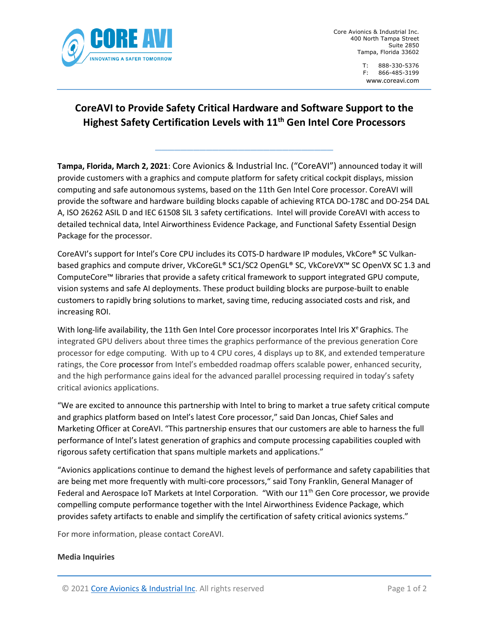

Core Avionics & Industrial Inc. 400 North Tampa Street Suite 2850 Tampa, Florida 33602

# **CoreAVI to Provide Safety Critical Hardware and Software Support to the Highest Safety Certification Levels with 11th Gen Intel Core Processors**

**\_\_\_\_\_\_\_\_\_\_\_\_\_\_\_\_\_\_\_\_\_\_\_\_\_\_\_\_**

**Tampa, Florida, March 2, 2021**: Core Avionics & Industrial Inc. ("CoreAVI") announced today it will provide customers with a graphics and compute platform for safety critical cockpit displays, mission computing and safe autonomous systems, based on the 11th Gen Intel Core processor. CoreAVI will provide the software and hardware building blocks capable of achieving RTCA DO-178C and DO-254 DAL A, ISO 26262 ASIL D and IEC 61508 SIL 3 safety certifications. Intel will provide CoreAVI with access to detailed technical data, Intel Airworthiness Evidence Package, and Functional Safety Essential Design Package for the processor.

CoreAVI's support for Intel's Core CPU includes its COTS-D hardware IP modules, VkCore® SC Vulkanbased graphics and compute driver, VkCoreGL® SC1/SC2 OpenGL® SC, VkCoreVX™ SC OpenVX SC 1.3 and ComputeCore™ libraries that provide a safety critical framework to support integrated GPU compute, vision systems and safe AI deployments. These product building blocks are purpose-built to enable customers to rapidly bring solutions to market, saving time, reducing associated costs and risk, and increasing ROI.

With long-life availability, the 11th Gen Intel Core processor incorporates Intel Iris  $X<sup>e</sup>$  Graphics. The integrated GPU delivers about three times the graphics performance of the previous generation Core processor for edge computing. With up to 4 CPU cores, 4 displays up to 8K, and extended temperature ratings, the Core processor from Intel's embedded roadmap offers scalable power, enhanced security, and the high performance gains ideal for the advanced parallel processing required in today's safety critical avionics applications.

"We are excited to announce this partnership with Intel to bring to market a true safety critical compute and graphics platform based on Intel's latest Core processor," said Dan Joncas, Chief Sales and Marketing Officer at CoreAVI. "This partnership ensures that our customers are able to harness the full performance of Intel's latest generation of graphics and compute processing capabilities coupled with rigorous safety certification that spans multiple markets and applications."

"Avionics applications continue to demand the highest levels of performance and safety capabilities that are being met more frequently with multi-core processors," said Tony Franklin, General Manager of Federal and Aerospace IoT Markets at Intel Corporation. "With our 11<sup>th</sup> Gen Core processor, we provide compelling compute performance together with the Intel Airworthiness Evidence Package, which provides safety artifacts to enable and simplify the certification of safety critical avionics systems."

For more information, please contact CoreAVI.

## **Media Inquiries**